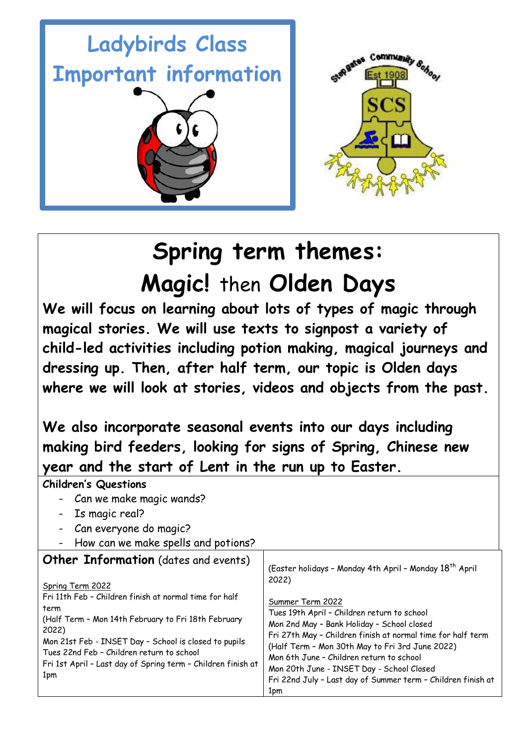

# **Spring term themes: Magic!** then **Olden Days**

**We will focus on learning about lots of types of magic through magical stories. We will use texts to signpost a variety of child-led activities including potion making, magical journeys and dressing up. Then, after half term, our topic is Olden days where we will look at stories, videos and objects from the past.** 

**We also incorporate seasonal events into our days including making bird feeders, looking for signs of Spring, Chinese new year and the start of Lent in the run up to Easter.** 

| <b>Children's Questions</b>                                                                                                                                                                                                                                                                                                                                                    |                                                                                                                                                                                                                                                                                                                                                                                                                                                                          |
|--------------------------------------------------------------------------------------------------------------------------------------------------------------------------------------------------------------------------------------------------------------------------------------------------------------------------------------------------------------------------------|--------------------------------------------------------------------------------------------------------------------------------------------------------------------------------------------------------------------------------------------------------------------------------------------------------------------------------------------------------------------------------------------------------------------------------------------------------------------------|
| Can we make magic wands?                                                                                                                                                                                                                                                                                                                                                       |                                                                                                                                                                                                                                                                                                                                                                                                                                                                          |
| Is magic real?                                                                                                                                                                                                                                                                                                                                                                 |                                                                                                                                                                                                                                                                                                                                                                                                                                                                          |
| Can everyone do magic?                                                                                                                                                                                                                                                                                                                                                         |                                                                                                                                                                                                                                                                                                                                                                                                                                                                          |
| How can we make spells and potions?                                                                                                                                                                                                                                                                                                                                            |                                                                                                                                                                                                                                                                                                                                                                                                                                                                          |
| <b>Other Information</b> (dates and events)<br>Spring Term 2022<br>Fri 11th Feb - Children finish at normal time for half<br>term<br>(Half Term - Mon 14th February to Fri 18th February<br>2022)<br>Mon 21st Feb - INSET Day - School is closed to pupils<br>Tues 22nd Feb - Children return to school<br>Fri 1st April - Last day of Spring term - Children finish at<br>1pm | (Easter holidays - Monday 4th April - Monday 18 <sup>th</sup> April<br>2022)<br>Summer Term 2022<br>Tues 19th April - Children return to school<br>Mon 2nd May - Bank Holiday - School closed<br>Fri 27th May - Children finish at normal time for half term<br>(Half Term - Mon 30th May to Fri 3rd June 2022)<br>Mon 6th June - Children return to school<br>Mon 20th June - INSET Day - School Closed<br>Fri 22nd July - Last day of Summer term - Children finish at |
|                                                                                                                                                                                                                                                                                                                                                                                | 1pm                                                                                                                                                                                                                                                                                                                                                                                                                                                                      |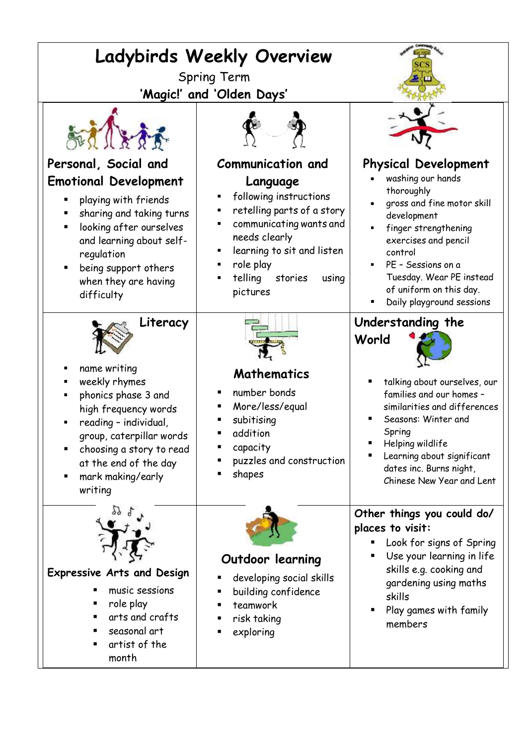| Ladybirds Weekly Overview<br><b>Spring Term</b><br>'Magic!' and 'Olden Days'                                                                                                                                                                 |                                                                                                                                                                                                                   |                                                                                                                                                                                                                                                                                  |
|----------------------------------------------------------------------------------------------------------------------------------------------------------------------------------------------------------------------------------------------|-------------------------------------------------------------------------------------------------------------------------------------------------------------------------------------------------------------------|----------------------------------------------------------------------------------------------------------------------------------------------------------------------------------------------------------------------------------------------------------------------------------|
| Personal, Social and                                                                                                                                                                                                                         | <b>Communication and</b>                                                                                                                                                                                          |                                                                                                                                                                                                                                                                                  |
| <b>Emotional Development</b><br>playing with friends<br>sharing and taking turns<br>looking after ourselves<br>п<br>and learning about self-<br>regulation<br>being support others<br>when they are having<br>difficulty                     | Language<br>following instructions<br>٠<br>retelling parts of a story<br>Е<br>communicating wants and<br>needs clearly<br>learning to sit and listen<br>П<br>role play<br>telling<br>stories<br>using<br>pictures | <b>Physical Development</b><br>washing our hands<br>thoroughly<br>gross and fine motor skill<br>development<br>finger strengthening<br>exercises and pencil<br>control<br>PE - Sessions on a<br>Tuesday. Wear PE instead<br>of uniform on this day.<br>Daily playground sessions |
| Literacy<br>name writing<br>weekly rhymes<br>phonics phase 3 and<br>high frequency words<br>reading - individual,<br>group, caterpillar words<br>choosing a story to read<br>п<br>at the end of the day<br>mark making/early<br>п<br>writing | Mathematics<br>number bonds<br>More/less/equal<br>subitising<br>addition<br>capacity<br>puzzles and construction<br>shapes                                                                                        | Understanding the<br>World<br>talking about ourselves, our<br>families and our homes -<br>similarities and differences<br>Seasons: Winter and<br>Spring<br>Helping wildlife<br>Learning about significant<br>dates inc. Burns night,<br>Chinese New Year and Lent                |
| <b>Expressive Arts and Design</b><br>music sessions<br>role play<br>arts and crafts<br>seasonal art<br>٠<br>artist of the<br>month                                                                                                           | Outdoor learning<br>developing social skills<br>building confidence<br>teamwork<br>risk taking<br>exploring                                                                                                       | Other things you could do/<br>places to visit:<br>Look for signs of Spring<br>Use your learning in life<br>skills e.g. cooking and<br>gardening using maths<br>skills<br>Play games with family<br>members                                                                       |